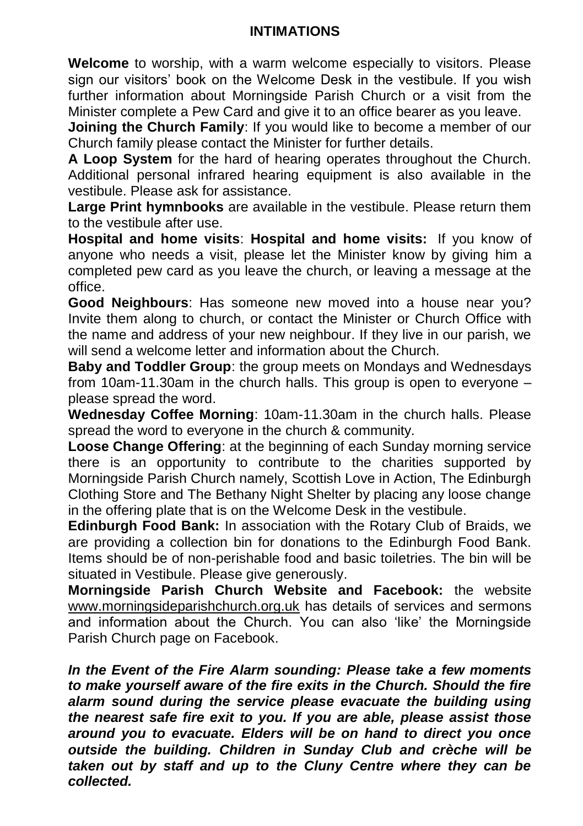## **INTIMATIONS**

**Welcome** to worship, with a warm welcome especially to visitors. Please sign our visitors' book on the Welcome Desk in the vestibule. If you wish further information about Morningside Parish Church or a visit from the Minister complete a Pew Card and give it to an office bearer as you leave.

**Joining the Church Family**: If you would like to become a member of our Church family please contact the Minister for further details.

**A Loop System** for the hard of hearing operates throughout the Church. Additional personal infrared hearing equipment is also available in the vestibule. Please ask for assistance.

**Large Print hymnbooks** are available in the vestibule. Please return them to the vestibule after use.

**Hospital and home visits**: **Hospital and home visits:** If you know of anyone who needs a visit, please let the Minister know by giving him a completed pew card as you leave the church, or leaving a message at the office.

**Good Neighbours**: Has someone new moved into a house near you? Invite them along to church, or contact the Minister or Church Office with the name and address of your new neighbour. If they live in our parish, we will send a welcome letter and information about the Church.

**Baby and Toddler Group**: the group meets on Mondays and Wednesdays from 10am-11.30am in the church halls. This group is open to everyone – please spread the word.

**Wednesday Coffee Morning**: 10am-11.30am in the church halls. Please spread the word to everyone in the church & community.

**Loose Change Offering**: at the beginning of each Sunday morning service there is an opportunity to contribute to the charities supported by Morningside Parish Church namely, Scottish Love in Action, The Edinburgh Clothing Store and The Bethany Night Shelter by placing any loose change in the offering plate that is on the Welcome Desk in the vestibule.

**Edinburgh Food Bank:** In association with the Rotary Club of Braids, we are providing a collection bin for donations to the Edinburgh Food Bank. Items should be of non-perishable food and basic toiletries. The bin will be situated in Vestibule. Please give generously.

**Morningside Parish Church Website and Facebook:** the website [www.morningsideparishchurch.org.uk](http://www.morningsideparishchurch.org.uk/) has details of services and sermons and information about the Church. You can also 'like' the Morningside Parish Church page on Facebook.

*In the Event of the Fire Alarm sounding: Please take a few moments to make yourself aware of the fire exits in the Church. Should the fire alarm sound during the service please evacuate the building using the nearest safe fire exit to you. If you are able, please assist those around you to evacuate. Elders will be on hand to direct you once outside the building. Children in Sunday Club and crèche will be taken out by staff and up to the Cluny Centre where they can be collected.*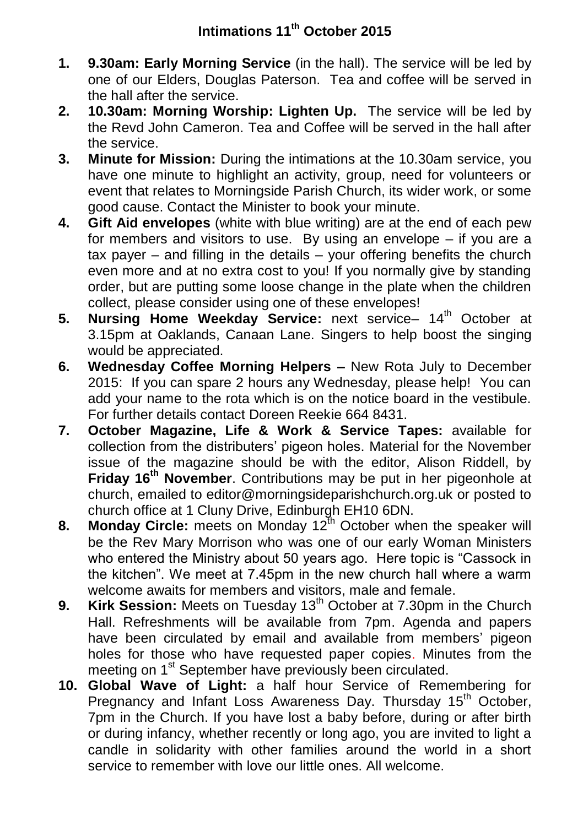- **1. 9.30am: Early Morning Service** (in the hall). The service will be led by one of our Elders, Douglas Paterson. Tea and coffee will be served in the hall after the service.
- **2. 10.30am: Morning Worship: Lighten Up.** The service will be led by the Revd John Cameron. Tea and Coffee will be served in the hall after the service.
- **3. Minute for Mission:** During the intimations at the 10.30am service, you have one minute to highlight an activity, group, need for volunteers or event that relates to Morningside Parish Church, its wider work, or some good cause. Contact the Minister to book your minute.
- **4. Gift Aid envelopes** (white with blue writing) are at the end of each pew for members and visitors to use. By using an envelope – if you are a tax payer – and filling in the details – your offering benefits the church even more and at no extra cost to you! If you normally give by standing order, but are putting some loose change in the plate when the children collect, please consider using one of these envelopes!
- **5. Nursing Home Weekday Service:** next service- 14<sup>th</sup> October at 3.15pm at Oaklands, Canaan Lane. Singers to help boost the singing would be appreciated.
- **6. Wednesday Coffee Morning Helpers –** New Rota July to December 2015: If you can spare 2 hours any Wednesday, please help! You can add your name to the rota which is on the notice board in the vestibule. For further details contact Doreen Reekie 664 8431.
- **7. October Magazine, Life & Work & Service Tapes:** available for collection from the distributers' pigeon holes. Material for the November issue of the magazine should be with the editor, Alison Riddell, by **Friday 16th November**. Contributions may be put in her pigeonhole at church, emailed to editor@morningsideparishchurch.org.uk or posted to church office at 1 Cluny Drive, Edinburgh EH10 6DN.
- **8.** Monday Circle: meets on Monday 12<sup>th</sup> October when the speaker will be the Rev Mary Morrison who was one of our early Woman Ministers who entered the Ministry about 50 years ago. Here topic is "Cassock in the kitchen". We meet at 7.45pm in the new church hall where a warm welcome awaits for members and visitors, male and female.
- **9.** Kirk Session: Meets on Tuesday 13<sup>th</sup> October at 7.30pm in the Church Hall. Refreshments will be available from 7pm. Agenda and papers have been circulated by email and available from members' pigeon holes for those who have requested paper copies. Minutes from the meeting on 1<sup>st</sup> September have previously been circulated.
- **10. Global Wave of Light:** a half hour Service of Remembering for Pregnancy and Infant Loss Awareness Day. Thursday 15<sup>th</sup> October, 7pm in the Church. If you have lost a baby before, during or after birth or during infancy, whether recently or long ago, you are invited to light a candle in solidarity with other families around the world in a short service to remember with love our little ones. All welcome.